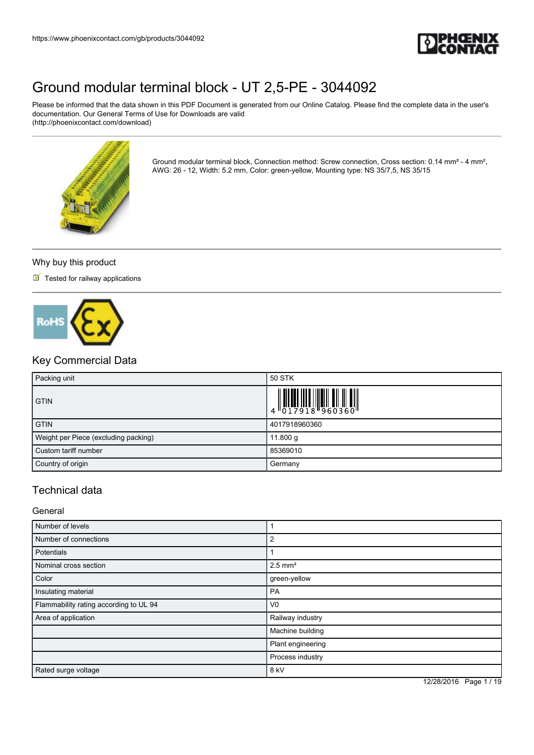

Please be informed that the data shown in this PDF Document is generated from our Online Catalog. Please find the complete data in the user's documentation. Our General Terms of Use for Downloads are valid (http://phoenixcontact.com/download)



Ground modular terminal block, Connection method: Screw connection, Cross section: 0.14 mm² - 4 mm², AWG: 26 - 12, Width: 5.2 mm, Color: green-yellow, Mounting type: NS 35/7,5, NS 35/15

#### Why buy this product

 $\blacksquare$  Tested for railway applications



### Key Commercial Data

| Packing unit                         | 50 STK                                                                                                                                                                                                                                                                                                                   |
|--------------------------------------|--------------------------------------------------------------------------------------------------------------------------------------------------------------------------------------------------------------------------------------------------------------------------------------------------------------------------|
| <b>GTIN</b>                          | $\begin{array}{c} 1 & 0 & 0 & 0 & 0 \\ 0 & 0 & 1 & 7 & 9 & 1 & 8 \\ 0 & 0 & 1 & 7 & 9 & 1 & 8 \\ 0 & 0 & 0 & 0 & 0 & 0 & 0 \\ 0 & 0 & 0 & 0 & 0 & 0 & 0 \\ 0 & 0 & 0 & 0 & 0 & 0 & 0 \\ 0 & 0 & 0 & 0 & 0 & 0 & 0 \\ 0 & 0 & 0 & 0 & 0 & 0 & 0 \\ 0 & 0 & 0 & 0 & 0 & 0 & 0 & 0 \\ 0 & 0 & 0 & 0 & 0 & 0 & 0 & 0 \\ 0 &$ |
| <b>GTIN</b>                          | 4017918960360                                                                                                                                                                                                                                                                                                            |
| Weight per Piece (excluding packing) | 11.800 g                                                                                                                                                                                                                                                                                                                 |
| Custom tariff number                 | 85369010                                                                                                                                                                                                                                                                                                                 |
| Country of origin                    | Germany                                                                                                                                                                                                                                                                                                                  |

### Technical data

General

| Number of levels                       |                       |
|----------------------------------------|-----------------------|
| Number of connections                  | 2                     |
| Potentials                             |                       |
| Nominal cross section                  | $2.5$ mm <sup>2</sup> |
| Color                                  | green-yellow          |
| Insulating material                    | <b>PA</b>             |
| Flammability rating according to UL 94 | V <sub>0</sub>        |
| Area of application                    | Railway industry      |
|                                        | Machine building      |
|                                        | Plant engineering     |
|                                        | Process industry      |
| Rated surge voltage                    | 8 kV                  |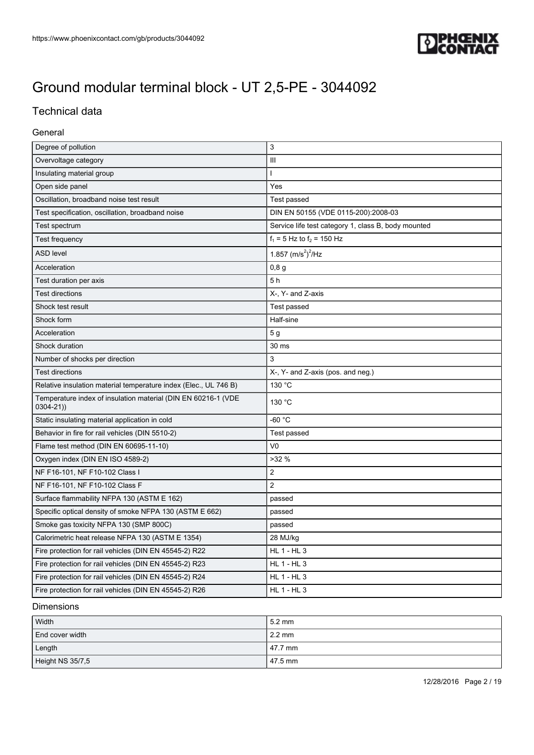

## Technical data

#### General

| Degree of pollution                                                           | 3                                                   |
|-------------------------------------------------------------------------------|-----------------------------------------------------|
| Overvoltage category                                                          | $\mathbf{III}$                                      |
| Insulating material group                                                     | T                                                   |
| Open side panel                                                               | Yes                                                 |
| Oscillation, broadband noise test result                                      | Test passed                                         |
| Test specification, oscillation, broadband noise                              | DIN EN 50155 (VDE 0115-200):2008-03                 |
| Test spectrum                                                                 | Service life test category 1, class B, body mounted |
| Test frequency                                                                | $f_1 = 5$ Hz to $f_2 = 150$ Hz                      |
| <b>ASD level</b>                                                              | 1.857 $(m/s^2)^2$ /Hz                               |
| Acceleration                                                                  | 0,8g                                                |
| Test duration per axis                                                        | 5h                                                  |
| <b>Test directions</b>                                                        | X-, Y- and Z-axis                                   |
| Shock test result                                                             | Test passed                                         |
| Shock form                                                                    | Half-sine                                           |
| Acceleration                                                                  | 5 <sub>g</sub>                                      |
| Shock duration                                                                | 30 ms                                               |
| Number of shocks per direction                                                | 3                                                   |
| <b>Test directions</b>                                                        | X-, Y- and Z-axis (pos. and neg.)                   |
| Relative insulation material temperature index (Elec., UL 746 B)              | 130 °C                                              |
| Temperature index of insulation material (DIN EN 60216-1 (VDE<br>$0304 - 21)$ | 130 °C                                              |
| Static insulating material application in cold                                | $-60 °C$                                            |
| Behavior in fire for rail vehicles (DIN 5510-2)                               | Test passed                                         |
| Flame test method (DIN EN 60695-11-10)                                        | V <sub>0</sub>                                      |
| Oxygen index (DIN EN ISO 4589-2)                                              | >32%                                                |
| NF F16-101, NF F10-102 Class I                                                | $\overline{2}$                                      |
| NF F16-101, NF F10-102 Class F                                                | 2                                                   |
| Surface flammability NFPA 130 (ASTM E 162)                                    | passed                                              |
| Specific optical density of smoke NFPA 130 (ASTM E 662)                       | passed                                              |
| Smoke gas toxicity NFPA 130 (SMP 800C)                                        | passed                                              |
| Calorimetric heat release NFPA 130 (ASTM E 1354)                              | 28 MJ/kg                                            |
| Fire protection for rail vehicles (DIN EN 45545-2) R22                        | <b>HL 1 - HL 3</b>                                  |
| Fire protection for rail vehicles (DIN EN 45545-2) R23                        | HL 1 - HL 3                                         |
| Fire protection for rail vehicles (DIN EN 45545-2) R24                        | <b>HL 1 - HL 3</b>                                  |
| Fire protection for rail vehicles (DIN EN 45545-2) R26                        | $HL$ 1 - $HL$ 3                                     |

#### Dimensions

| Width            | $5.2 \text{ mm}$  |
|------------------|-------------------|
| End cover width  | $12.2 \text{ mm}$ |
| Length           | 47.7 mm           |
| Height NS 35/7,5 | 47.5 mm           |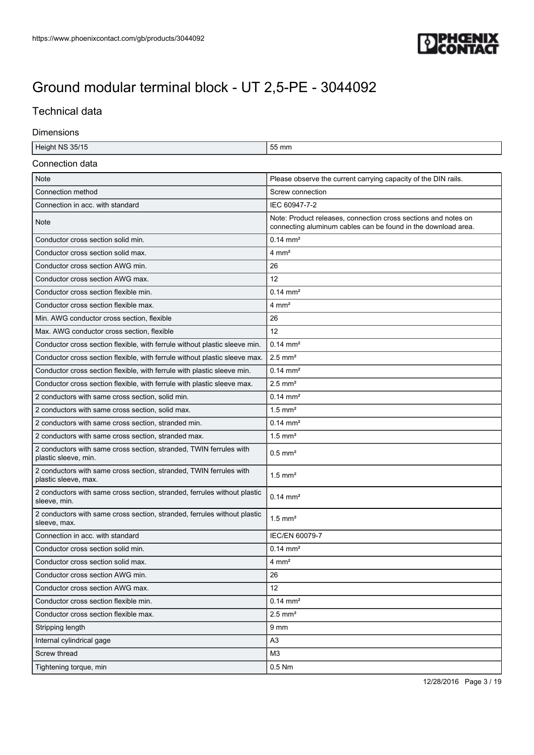

## Technical data

#### Dimensions

| Height NS 35/15                                                                            | 55 mm                                                                                                                           |  |  |
|--------------------------------------------------------------------------------------------|---------------------------------------------------------------------------------------------------------------------------------|--|--|
| Connection data                                                                            |                                                                                                                                 |  |  |
| <b>Note</b>                                                                                | Please observe the current carrying capacity of the DIN rails.                                                                  |  |  |
| Connection method                                                                          | Screw connection                                                                                                                |  |  |
| Connection in acc. with standard                                                           | IEC 60947-7-2                                                                                                                   |  |  |
| Note                                                                                       | Note: Product releases, connection cross sections and notes on<br>connecting aluminum cables can be found in the download area. |  |  |
| Conductor cross section solid min.                                                         | $0.14 \, \text{mm}^2$                                                                                                           |  |  |
| Conductor cross section solid max.                                                         | $4 \text{ mm}^2$                                                                                                                |  |  |
| Conductor cross section AWG min.                                                           | 26                                                                                                                              |  |  |
| Conductor cross section AWG max.                                                           | 12                                                                                                                              |  |  |
| Conductor cross section flexible min.                                                      | $0.14 \, \text{mm}^2$                                                                                                           |  |  |
| Conductor cross section flexible max.                                                      | $4 \text{ mm}^2$                                                                                                                |  |  |
| Min. AWG conductor cross section, flexible                                                 | 26                                                                                                                              |  |  |
| Max. AWG conductor cross section, flexible                                                 | 12                                                                                                                              |  |  |
| Conductor cross section flexible, with ferrule without plastic sleeve min.                 | $0.14 \, \text{mm}^2$                                                                                                           |  |  |
| Conductor cross section flexible, with ferrule without plastic sleeve max.                 | $2.5$ mm <sup>2</sup>                                                                                                           |  |  |
| Conductor cross section flexible, with ferrule with plastic sleeve min.                    | $0.14 \, \text{mm}^2$                                                                                                           |  |  |
| Conductor cross section flexible, with ferrule with plastic sleeve max.                    | $2.5$ mm <sup>2</sup>                                                                                                           |  |  |
| 2 conductors with same cross section, solid min.                                           | $0.14 \, \text{mm}^2$                                                                                                           |  |  |
| 2 conductors with same cross section, solid max.                                           | $1.5$ mm <sup>2</sup>                                                                                                           |  |  |
| 2 conductors with same cross section, stranded min.                                        | $0.14 \text{ mm}^2$                                                                                                             |  |  |
| 2 conductors with same cross section, stranded max.                                        | $1.5$ mm <sup>2</sup>                                                                                                           |  |  |
| 2 conductors with same cross section, stranded, TWIN ferrules with<br>plastic sleeve, min. | $0.5$ mm <sup>2</sup>                                                                                                           |  |  |
| 2 conductors with same cross section, stranded, TWIN ferrules with<br>plastic sleeve, max. | $1.5$ mm <sup>2</sup>                                                                                                           |  |  |
| 2 conductors with same cross section, stranded, ferrules without plastic<br>sleeve, min.   | $0.14 \, \text{mm}^2$                                                                                                           |  |  |
| 2 conductors with same cross section, stranded, ferrules without plastic<br>sleeve, max.   | $1.5$ mm <sup>2</sup>                                                                                                           |  |  |
| Connection in acc. with standard                                                           | IEC/EN 60079-7                                                                                                                  |  |  |
| Conductor cross section solid min.                                                         | $0.14 \, \text{mm}^2$                                                                                                           |  |  |
| Conductor cross section solid max.                                                         | $4 \, \text{mm}^2$                                                                                                              |  |  |
| Conductor cross section AWG min.                                                           | 26                                                                                                                              |  |  |
| Conductor cross section AWG max.                                                           | 12                                                                                                                              |  |  |
| Conductor cross section flexible min.                                                      | $0.14 \, \text{mm}^2$                                                                                                           |  |  |
| Conductor cross section flexible max.                                                      | $2.5$ mm <sup>2</sup>                                                                                                           |  |  |
| Stripping length                                                                           | 9 mm                                                                                                                            |  |  |
| Internal cylindrical gage                                                                  | A3                                                                                                                              |  |  |
| Screw thread                                                                               | M3                                                                                                                              |  |  |
| Tightening torque, min                                                                     | 0.5 Nm                                                                                                                          |  |  |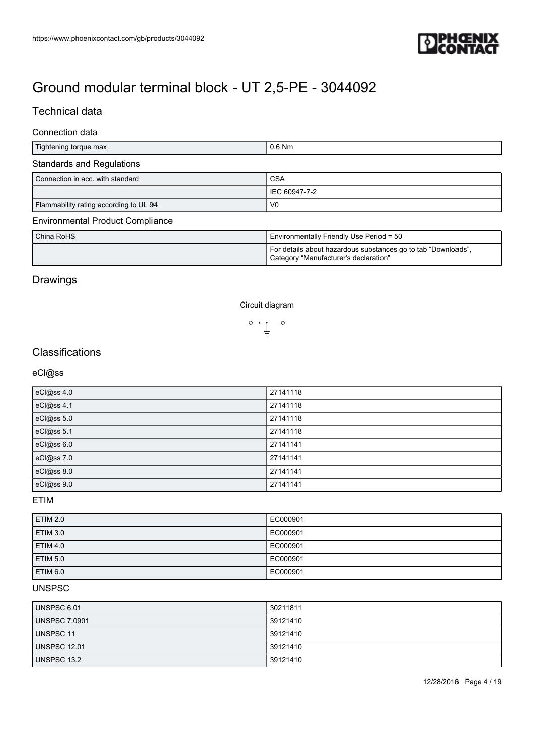

## Technical data

### Connection data

| Tightening torque max                                    | $0.6$ Nm                                                                                               |
|----------------------------------------------------------|--------------------------------------------------------------------------------------------------------|
| <b>Standards and Regulations</b>                         |                                                                                                        |
| Connection in acc. with standard                         | <b>CSA</b>                                                                                             |
|                                                          | IEC 60947-7-2                                                                                          |
| Flammability rating according to UL 94<br>V <sub>0</sub> |                                                                                                        |
| <b>Environmental Product Compliance</b>                  |                                                                                                        |
| China RoHS                                               | Environmentally Friendly Use Period = 50                                                               |
|                                                          | For details about hazardous substances go to tab "Downloads",<br>Category "Manufacturer's declaration" |

### Drawings

Circuit diagram



## **Classifications**

#### eCl@ss

| eCl@ss 4.0 | 27141118 |
|------------|----------|
| eCl@ss 4.1 | 27141118 |
| eCl@ss 5.0 | 27141118 |
| eCl@ss 5.1 | 27141118 |
| eCl@ss 6.0 | 27141141 |
| eCl@ss 7.0 | 27141141 |
| eCl@ss 8.0 | 27141141 |
| eCl@ss 9.0 | 27141141 |

ETIM

| <b>ETIM 2.0</b> | EC000901 |
|-----------------|----------|
| <b>ETIM 3.0</b> | EC000901 |
| <b>ETIM 4.0</b> | EC000901 |
| <b>ETIM 5.0</b> | EC000901 |
| <b>ETIM 6.0</b> | EC000901 |

## UNSPSC

| UNSPSC 6.01         | 30211811 |
|---------------------|----------|
| UNSPSC 7.0901       | 39121410 |
| UNSPSC 11           | 39121410 |
| <b>UNSPSC 12.01</b> | 39121410 |
| UNSPSC 13.2         | 39121410 |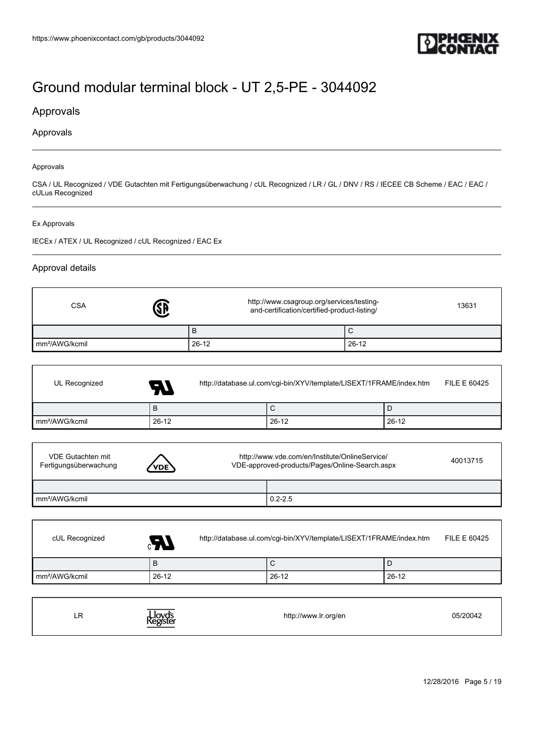

### Approvals

#### Approvals

#### Approvals

CSA / UL Recognized / VDE Gutachten mit Fertigungsüberwachung / cUL Recognized / LR / GL / DNV / RS / IECEE CB Scheme / EAC / EAC / cULus Recognized

#### Ex Approvals

 $\overline{1}$ 

I

IECEx / ATEX / UL Recognized / cUL Recognized / EAC Ex

#### Approval details

| <b>CSA</b>                 | http://www.csagroup.org/services/testing-<br>and-certification/certified-product-listing/ | 13631 |
|----------------------------|-------------------------------------------------------------------------------------------|-------|
|                            | D                                                                                         |       |
| mm <sup>2</sup> /AWG/kcmil | $26 - 12$                                                                                 | 26-12 |

| UL Recognized              | $\boldsymbol{H}$ | http://database.ul.com/cgi-bin/XYV/template/LISEXT/1FRAME/index.htm |         |         | FILE E 60425 |
|----------------------------|------------------|---------------------------------------------------------------------|---------|---------|--------------|
|                            | B                |                                                                     | U       |         |              |
| mm <sup>2</sup> /AWG/kcmil | $26-12$          |                                                                     | $26-12$ | $26-12$ |              |

| VDE Gutachten mit<br>Fertigungsüberwachung | ′VDE` | http://www.vde.com/en/Institute/OnlineService/<br>VDE-approved-products/Pages/Online-Search.aspx |  |
|--------------------------------------------|-------|--------------------------------------------------------------------------------------------------|--|
|                                            |       |                                                                                                  |  |
| mm <sup>2</sup> /AWG/kcmil                 |       | $0.2 - 2.5$                                                                                      |  |

| cUL Recognized             | Æ.      | http://database.ul.com/cgi-bin/XYV/template/LISEXT/1FRAME/index.htm |       |  |  |
|----------------------------|---------|---------------------------------------------------------------------|-------|--|--|
|                            | B       | ◡                                                                   |       |  |  |
| mm <sup>2</sup> /AWG/kcmil | $26-12$ | 26-12                                                               | 26-12 |  |  |

| ᇅ<br>$ -$ | Lloyd's<br>Register | http://www.lr.org/en | 05/20042 |
|-----------|---------------------|----------------------|----------|
|-----------|---------------------|----------------------|----------|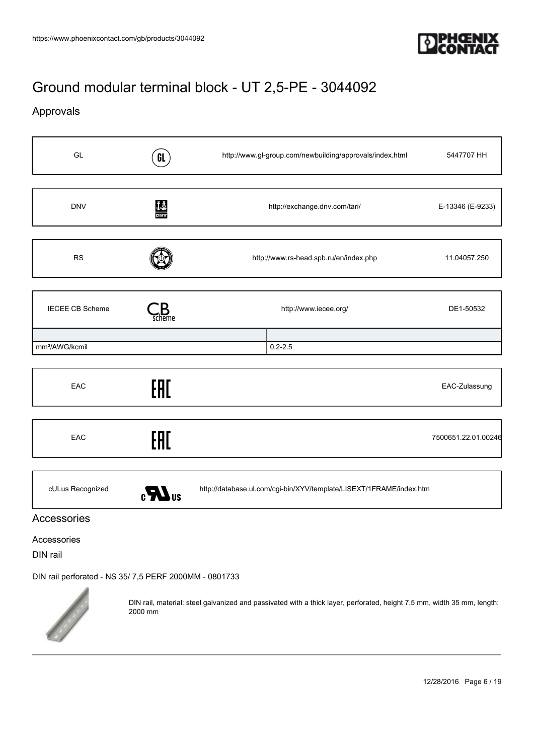

## Approvals

| GL                              | GL                             | http://www.gl-group.com/newbuilding/approvals/index.html            | 5447707 HH          |
|---------------------------------|--------------------------------|---------------------------------------------------------------------|---------------------|
| <b>DNV</b>                      | $\frac{\text{th}}{\text{DNU}}$ | http://exchange.dnv.com/tari/                                       | E-13346 (E-9233)    |
| <b>RS</b>                       |                                | http://www.rs-head.spb.ru/en/index.php                              | 11.04057.250        |
| <b>IECEE CB Scheme</b>          | ieme                           | http://www.iecee.org/                                               | DE1-50532           |
| mm <sup>2</sup> /AWG/kcmil      |                                | $0.2 - 2.5$                                                         |                     |
| EAC                             | EAC                            |                                                                     | EAC-Zulassung       |
| EAC                             | EAC                            |                                                                     | 7500651.22.01.00246 |
| cULus Recognized<br>Accessories | $\epsilon$ <b>N</b> us         | http://database.ul.com/cgi-bin/XYV/template/LISEXT/1FRAME/index.htm |                     |

#### Accessories

DIN rail

[DIN rail perforated - NS 35/ 7,5 PERF 2000MM - 0801733](https://www.phoenixcontact.com/gb/products/0801733)



DIN rail, material: steel galvanized and passivated with a thick layer, perforated, height 7.5 mm, width 35 mm, length: 2000 mm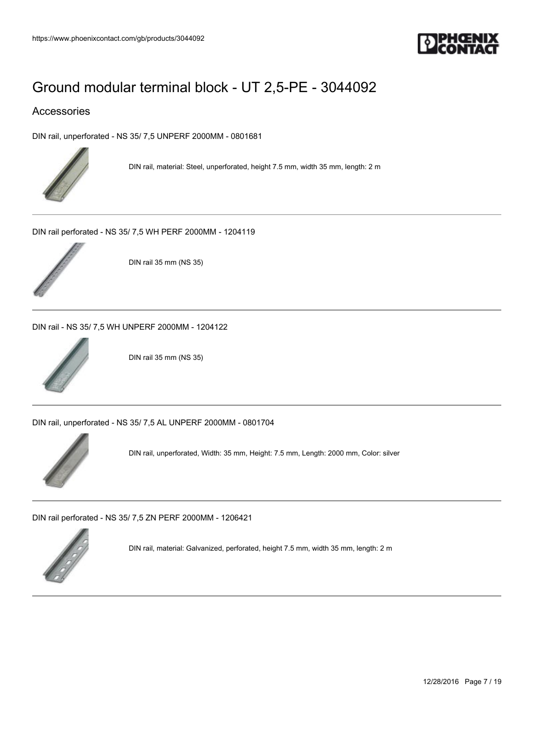

### Accessories

[DIN rail, unperforated - NS 35/ 7,5 UNPERF 2000MM - 0801681](https://www.phoenixcontact.com/gb/products/0801681)



DIN rail, material: Steel, unperforated, height 7.5 mm, width 35 mm, length: 2 m

[DIN rail perforated - NS 35/ 7,5 WH PERF 2000MM - 1204119](https://www.phoenixcontact.com/gb/products/1204119)



DIN rail 35 mm (NS 35)

[DIN rail - NS 35/ 7,5 WH UNPERF 2000MM - 1204122](https://www.phoenixcontact.com/gb/products/1204122)



DIN rail 35 mm (NS 35)

[DIN rail, unperforated - NS 35/ 7,5 AL UNPERF 2000MM - 0801704](https://www.phoenixcontact.com/gb/products/0801704)



DIN rail, unperforated, Width: 35 mm, Height: 7.5 mm, Length: 2000 mm, Color: silver

[DIN rail perforated - NS 35/ 7,5 ZN PERF 2000MM - 1206421](https://www.phoenixcontact.com/gb/products/1206421)



DIN rail, material: Galvanized, perforated, height 7.5 mm, width 35 mm, length: 2 m

12/28/2016 Page 7 / 19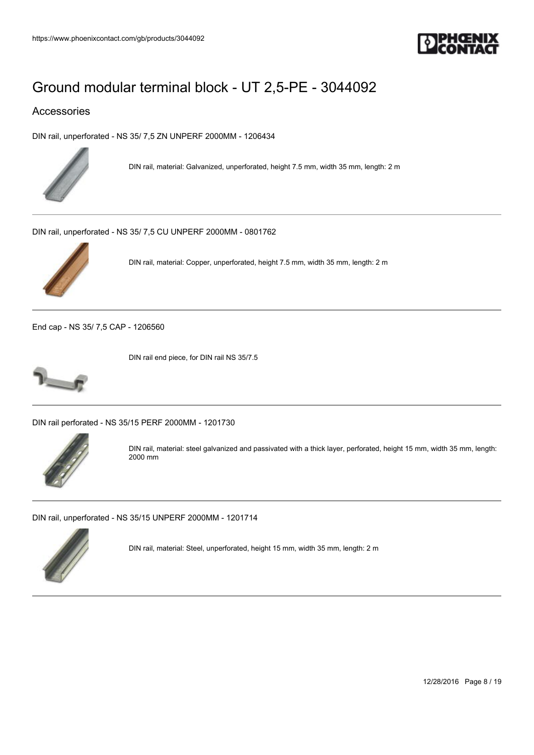

### Accessories

[DIN rail, unperforated - NS 35/ 7,5 ZN UNPERF 2000MM - 1206434](https://www.phoenixcontact.com/gb/products/1206434)



DIN rail, material: Galvanized, unperforated, height 7.5 mm, width 35 mm, length: 2 m

[DIN rail, unperforated - NS 35/ 7,5 CU UNPERF 2000MM - 0801762](https://www.phoenixcontact.com/gb/products/0801762)



DIN rail, material: Copper, unperforated, height 7.5 mm, width 35 mm, length: 2 m

[End cap - NS 35/ 7,5 CAP - 1206560](https://www.phoenixcontact.com/gb/products/1206560)



DIN rail end piece, for DIN rail NS 35/7.5

[DIN rail perforated - NS 35/15 PERF 2000MM - 1201730](https://www.phoenixcontact.com/gb/products/1201730)



DIN rail, material: steel galvanized and passivated with a thick layer, perforated, height 15 mm, width 35 mm, length: 2000 mm

[DIN rail, unperforated - NS 35/15 UNPERF 2000MM - 1201714](https://www.phoenixcontact.com/gb/products/1201714)



DIN rail, material: Steel, unperforated, height 15 mm, width 35 mm, length: 2 m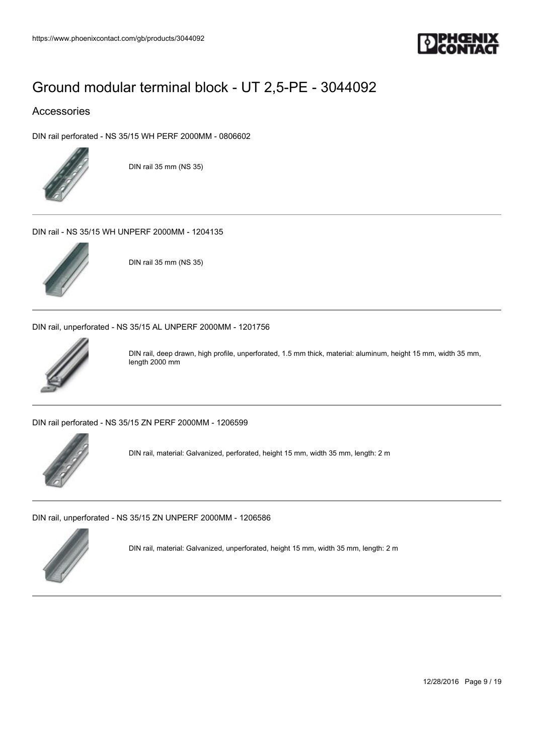

### Accessories

[DIN rail perforated - NS 35/15 WH PERF 2000MM - 0806602](https://www.phoenixcontact.com/gb/products/0806602)



DIN rail 35 mm (NS 35)

[DIN rail - NS 35/15 WH UNPERF 2000MM - 1204135](https://www.phoenixcontact.com/gb/products/1204135)



DIN rail 35 mm (NS 35)

[DIN rail, unperforated - NS 35/15 AL UNPERF 2000MM - 1201756](https://www.phoenixcontact.com/gb/products/1201756)



DIN rail, deep drawn, high profile, unperforated, 1.5 mm thick, material: aluminum, height 15 mm, width 35 mm, length 2000 mm

[DIN rail perforated - NS 35/15 ZN PERF 2000MM - 1206599](https://www.phoenixcontact.com/gb/products/1206599)



DIN rail, material: Galvanized, perforated, height 15 mm, width 35 mm, length: 2 m

[DIN rail, unperforated - NS 35/15 ZN UNPERF 2000MM - 1206586](https://www.phoenixcontact.com/gb/products/1206586)



DIN rail, material: Galvanized, unperforated, height 15 mm, width 35 mm, length: 2 m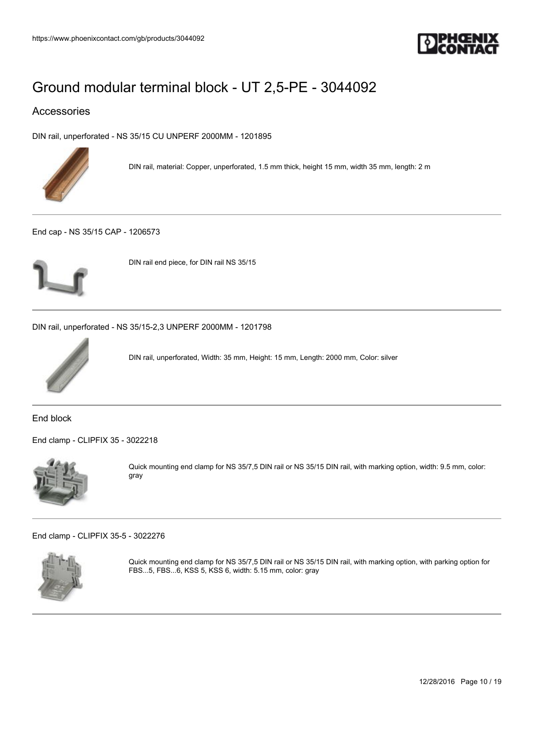

### Accessories

[DIN rail, unperforated - NS 35/15 CU UNPERF 2000MM - 1201895](https://www.phoenixcontact.com/gb/products/1201895)



DIN rail, material: Copper, unperforated, 1.5 mm thick, height 15 mm, width 35 mm, length: 2 m

[End cap - NS 35/15 CAP - 1206573](https://www.phoenixcontact.com/gb/products/1206573)



DIN rail end piece, for DIN rail NS 35/15

[DIN rail, unperforated - NS 35/15-2,3 UNPERF 2000MM - 1201798](https://www.phoenixcontact.com/gb/products/1201798)



DIN rail, unperforated, Width: 35 mm, Height: 15 mm, Length: 2000 mm, Color: silver

End block

[End clamp - CLIPFIX 35 - 3022218](https://www.phoenixcontact.com/gb/products/3022218)



Quick mounting end clamp for NS 35/7,5 DIN rail or NS 35/15 DIN rail, with marking option, width: 9.5 mm, color: gray

[End clamp - CLIPFIX 35-5 - 3022276](https://www.phoenixcontact.com/gb/products/3022276)



Quick mounting end clamp for NS 35/7,5 DIN rail or NS 35/15 DIN rail, with marking option, with parking option for FBS...5, FBS...6, KSS 5, KSS 6, width: 5.15 mm, color: gray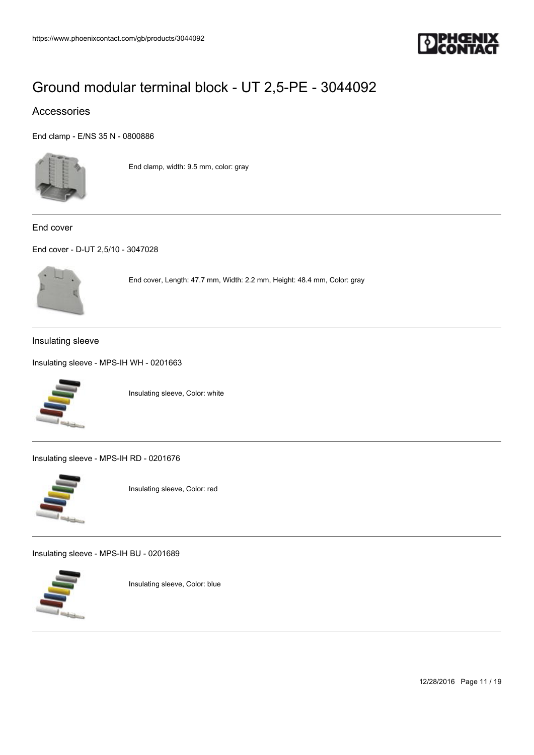

### Accessories

[End clamp - E/NS 35 N - 0800886](https://www.phoenixcontact.com/gb/products/0800886)



End clamp, width: 9.5 mm, color: gray

End cover

[End cover - D-UT 2,5/10 - 3047028](https://www.phoenixcontact.com/gb/products/3047028)



End cover, Length: 47.7 mm, Width: 2.2 mm, Height: 48.4 mm, Color: gray

#### Insulating sleeve

[Insulating sleeve - MPS-IH WH - 0201663](https://www.phoenixcontact.com/gb/products/0201663)



Insulating sleeve, Color: white

[Insulating sleeve - MPS-IH RD - 0201676](https://www.phoenixcontact.com/gb/products/0201676)



Insulating sleeve, Color: red

[Insulating sleeve - MPS-IH BU - 0201689](https://www.phoenixcontact.com/gb/products/0201689)



Insulating sleeve, Color: blue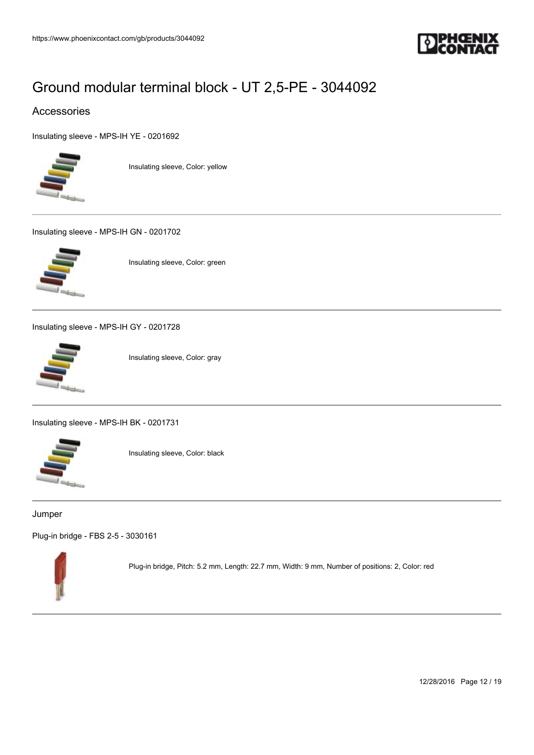

### Accessories

[Insulating sleeve - MPS-IH YE - 0201692](https://www.phoenixcontact.com/gb/products/0201692)



Insulating sleeve, Color: yellow

[Insulating sleeve - MPS-IH GN - 0201702](https://www.phoenixcontact.com/gb/products/0201702)



Insulating sleeve, Color: green

[Insulating sleeve - MPS-IH GY - 0201728](https://www.phoenixcontact.com/gb/products/0201728)



Insulating sleeve, Color: gray

[Insulating sleeve - MPS-IH BK - 0201731](https://www.phoenixcontact.com/gb/products/0201731)



Insulating sleeve, Color: black

#### Jumper

[Plug-in bridge - FBS 2-5 - 3030161](https://www.phoenixcontact.com/gb/products/3030161)



Plug-in bridge, Pitch: 5.2 mm, Length: 22.7 mm, Width: 9 mm, Number of positions: 2, Color: red

12/28/2016 Page 12 / 19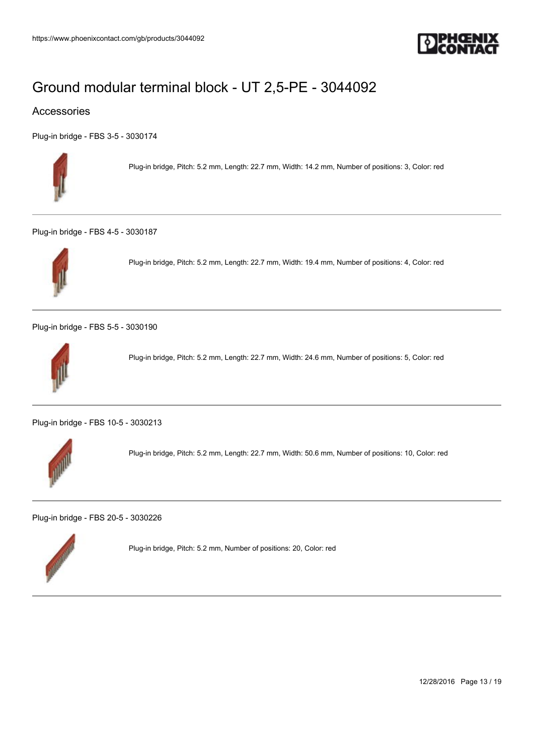

### Accessories

[Plug-in bridge - FBS 3-5 - 3030174](https://www.phoenixcontact.com/gb/products/3030174)



Plug-in bridge, Pitch: 5.2 mm, Length: 22.7 mm, Width: 14.2 mm, Number of positions: 3, Color: red

[Plug-in bridge - FBS 4-5 - 3030187](https://www.phoenixcontact.com/gb/products/3030187)



Plug-in bridge, Pitch: 5.2 mm, Length: 22.7 mm, Width: 19.4 mm, Number of positions: 4, Color: red

[Plug-in bridge - FBS 5-5 - 3030190](https://www.phoenixcontact.com/gb/products/3030190)



Plug-in bridge, Pitch: 5.2 mm, Length: 22.7 mm, Width: 24.6 mm, Number of positions: 5, Color: red

[Plug-in bridge - FBS 10-5 - 3030213](https://www.phoenixcontact.com/gb/products/3030213)



Plug-in bridge, Pitch: 5.2 mm, Length: 22.7 mm, Width: 50.6 mm, Number of positions: 10, Color: red

[Plug-in bridge - FBS 20-5 - 3030226](https://www.phoenixcontact.com/gb/products/3030226)



Plug-in bridge, Pitch: 5.2 mm, Number of positions: 20, Color: red

12/28/2016 Page 13 / 19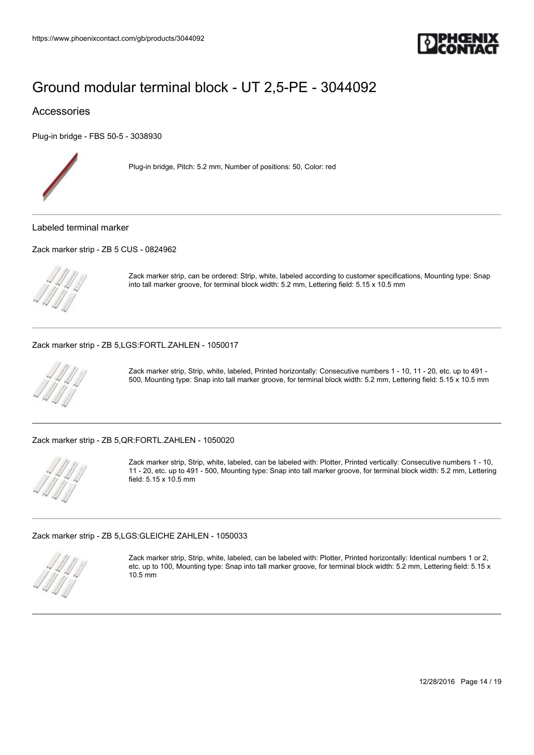

### Accessories

[Plug-in bridge - FBS 50-5 - 3038930](https://www.phoenixcontact.com/gb/products/3038930)



Plug-in bridge, Pitch: 5.2 mm, Number of positions: 50, Color: red

Labeled terminal marker

[Zack marker strip - ZB 5 CUS - 0824962](https://www.phoenixcontact.com/gb/products/0824962)

Zack marker strip, can be ordered: Strip, white, labeled according to customer specifications, Mounting type: Snap into tall marker groove, for terminal block width: 5.2 mm, Lettering field: 5.15 x 10.5 mm

[Zack marker strip - ZB 5,LGS:FORTL.ZAHLEN - 1050017](https://www.phoenixcontact.com/gb/products/1050017)



Zack marker strip, Strip, white, labeled, Printed horizontally: Consecutive numbers 1 - 10, 11 - 20, etc. up to 491 - 500, Mounting type: Snap into tall marker groove, for terminal block width: 5.2 mm, Lettering field: 5.15 x 10.5 mm

#### [Zack marker strip - ZB 5,QR:FORTL.ZAHLEN - 1050020](https://www.phoenixcontact.com/gb/products/1050020)



Zack marker strip, Strip, white, labeled, can be labeled with: Plotter, Printed vertically: Consecutive numbers 1 - 10, 11 - 20, etc. up to 491 - 500, Mounting type: Snap into tall marker groove, for terminal block width: 5.2 mm, Lettering field: 5.15 x 10.5 mm

[Zack marker strip - ZB 5,LGS:GLEICHE ZAHLEN - 1050033](https://www.phoenixcontact.com/gb/products/1050033)



Zack marker strip, Strip, white, labeled, can be labeled with: Plotter, Printed horizontally: Identical numbers 1 or 2, etc. up to 100, Mounting type: Snap into tall marker groove, for terminal block width: 5.2 mm, Lettering field: 5.15 x 10.5 mm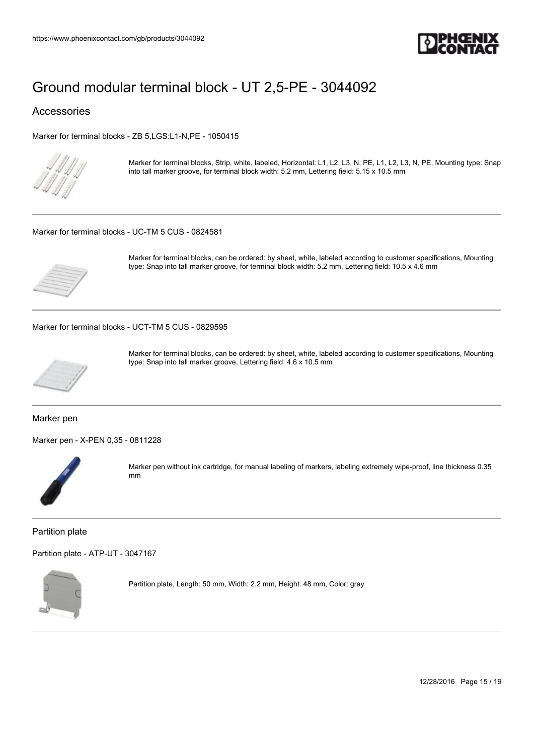

#### Accessories

[Marker for terminal blocks - ZB 5,LGS:L1-N,PE - 1050415](https://www.phoenixcontact.com/gb/products/1050415)



Marker for terminal blocks, Strip, white, labeled, Horizontal: L1, L2, L3, N, PE, L1, L2, L3, N, PE, Mounting type: Snap into tall marker groove, for terminal block width: 5.2 mm, Lettering field: 5.15 x 10.5 mm

#### [Marker for terminal blocks - UC-TM 5 CUS - 0824581](https://www.phoenixcontact.com/gb/products/0824581)



Marker for terminal blocks, can be ordered: by sheet, white, labeled according to customer specifications, Mounting type: Snap into tall marker groove, for terminal block width: 5.2 mm, Lettering field: 10.5 x 4.6 mm

[Marker for terminal blocks - UCT-TM 5 CUS - 0829595](https://www.phoenixcontact.com/gb/products/0829595)



Marker for terminal blocks, can be ordered: by sheet, white, labeled according to customer specifications, Mounting type: Snap into tall marker groove, Lettering field: 4.6 x 10.5 mm

#### Marker pen

[Marker pen - X-PEN 0,35 - 0811228](https://www.phoenixcontact.com/gb/products/0811228)



Marker pen without ink cartridge, for manual labeling of markers, labeling extremely wipe-proof, line thickness 0.35 mm

Partition plate

[Partition plate - ATP-UT - 3047167](https://www.phoenixcontact.com/gb/products/3047167)



Partition plate, Length: 50 mm, Width: 2.2 mm, Height: 48 mm, Color: gray

12/28/2016 Page 15 / 19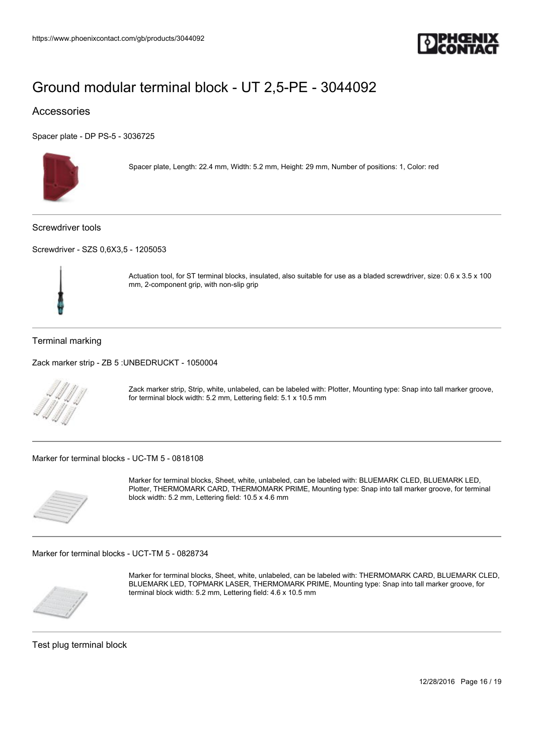

### Accessories

[Spacer plate - DP PS-5 - 3036725](https://www.phoenixcontact.com/gb/products/3036725)



Spacer plate, Length: 22.4 mm, Width: 5.2 mm, Height: 29 mm, Number of positions: 1, Color: red

Screwdriver tools

[Screwdriver - SZS 0,6X3,5 - 1205053](https://www.phoenixcontact.com/gb/products/1205053)



Actuation tool, for ST terminal blocks, insulated, also suitable for use as a bladed screwdriver, size: 0.6 x 3.5 x 100 mm, 2-component grip, with non-slip grip

#### Terminal marking

[Zack marker strip - ZB 5 :UNBEDRUCKT - 1050004](https://www.phoenixcontact.com/gb/products/1050004)



Zack marker strip, Strip, white, unlabeled, can be labeled with: Plotter, Mounting type: Snap into tall marker groove, for terminal block width: 5.2 mm, Lettering field: 5.1 x 10.5 mm

[Marker for terminal blocks - UC-TM 5 - 0818108](https://www.phoenixcontact.com/gb/products/0818108)



Marker for terminal blocks, Sheet, white, unlabeled, can be labeled with: BLUEMARK CLED, BLUEMARK LED, Plotter, THERMOMARK CARD, THERMOMARK PRIME, Mounting type: Snap into tall marker groove, for terminal block width: 5.2 mm, Lettering field: 10.5 x 4.6 mm

[Marker for terminal blocks - UCT-TM 5 - 0828734](https://www.phoenixcontact.com/gb/products/0828734)



Marker for terminal blocks, Sheet, white, unlabeled, can be labeled with: THERMOMARK CARD, BLUEMARK CLED, BLUEMARK LED, TOPMARK LASER, THERMOMARK PRIME, Mounting type: Snap into tall marker groove, for terminal block width: 5.2 mm, Lettering field: 4.6 x 10.5 mm

Test plug terminal block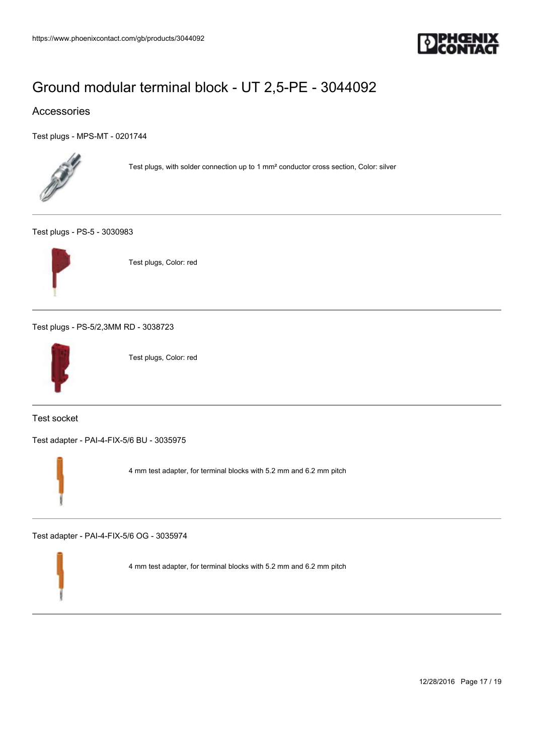

### Accessories

[Test plugs - MPS-MT - 0201744](https://www.phoenixcontact.com/gb/products/0201744)



Test plugs, with solder connection up to 1 mm² conductor cross section, Color: silver

[Test plugs - PS-5 - 3030983](https://www.phoenixcontact.com/gb/products/3030983)



Test plugs, Color: red

[Test plugs - PS-5/2,3MM RD - 3038723](https://www.phoenixcontact.com/gb/products/3038723)



Test plugs, Color: red

Test socket

[Test adapter - PAI-4-FIX-5/6 BU - 3035975](https://www.phoenixcontact.com/gb/products/3035975)



4 mm test adapter, for terminal blocks with 5.2 mm and 6.2 mm pitch

[Test adapter - PAI-4-FIX-5/6 OG - 3035974](https://www.phoenixcontact.com/gb/products/3035974)

4 mm test adapter, for terminal blocks with 5.2 mm and 6.2 mm pitch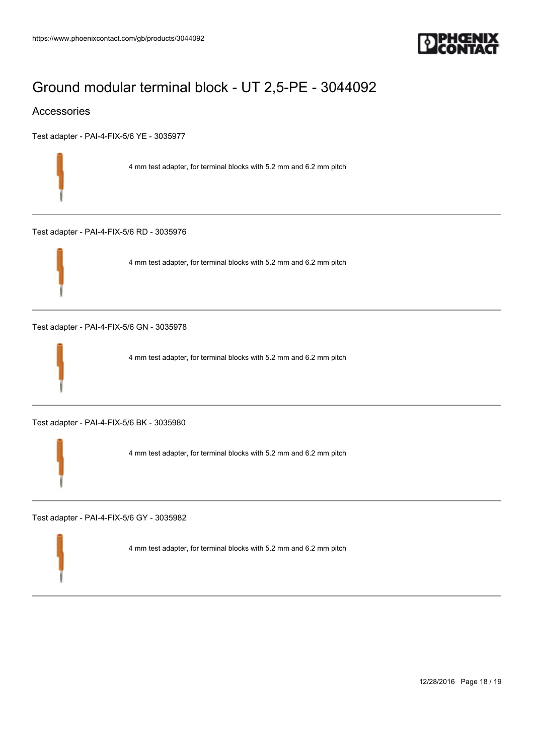

### Accessories

[Test adapter - PAI-4-FIX-5/6 YE - 3035977](https://www.phoenixcontact.com/gb/products/3035977)

4 mm test adapter, for terminal blocks with 5.2 mm and 6.2 mm pitch

[Test adapter - PAI-4-FIX-5/6 RD - 3035976](https://www.phoenixcontact.com/gb/products/3035976)



4 mm test adapter, for terminal blocks with 5.2 mm and 6.2 mm pitch

[Test adapter - PAI-4-FIX-5/6 GN - 3035978](https://www.phoenixcontact.com/gb/products/3035978)



4 mm test adapter, for terminal blocks with 5.2 mm and 6.2 mm pitch

[Test adapter - PAI-4-FIX-5/6 BK - 3035980](https://www.phoenixcontact.com/gb/products/3035980)

4 mm test adapter, for terminal blocks with 5.2 mm and 6.2 mm pitch

[Test adapter - PAI-4-FIX-5/6 GY - 3035982](https://www.phoenixcontact.com/gb/products/3035982)

4 mm test adapter, for terminal blocks with 5.2 mm and 6.2 mm pitch

12/28/2016 Page 18 / 19